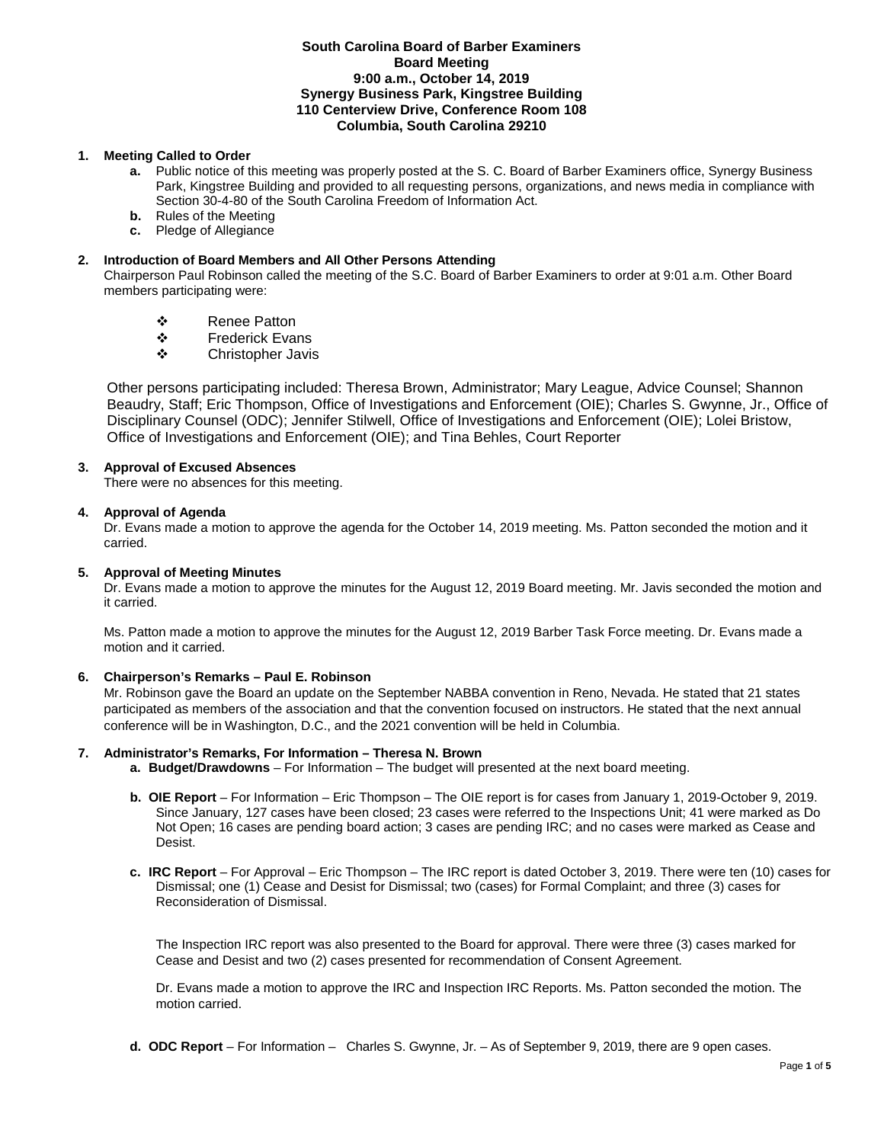### **South Carolina Board of Barber Examiners Board Meeting 9:00 a.m., October 14, 2019 Synergy Business Park, Kingstree Building 110 Centerview Drive, Conference Room 108 Columbia, South Carolina 29210**

# **1. Meeting Called to Order**

- **a.** Public notice of this meeting was properly posted at the S. C. Board of Barber Examiners office, Synergy Business Park, Kingstree Building and provided to all requesting persons, organizations, and news media in compliance with Section 30-4-80 of the South Carolina Freedom of Information Act.
- **b.** Rules of the Meeting
- **c.** Pledge of Allegiance

# **2. Introduction of Board Members and All Other Persons Attending**

Chairperson Paul Robinson called the meeting of the S.C. Board of Barber Examiners to order at 9:01 a.m. Other Board members participating were:

- Renee Patton
- Frederick Evans
- Christopher Javis

Other persons participating included: Theresa Brown, Administrator; Mary League, Advice Counsel; Shannon Beaudry, Staff; Eric Thompson, Office of Investigations and Enforcement (OIE); Charles S. Gwynne, Jr., Office of Disciplinary Counsel (ODC); Jennifer Stilwell, Office of Investigations and Enforcement (OIE); Lolei Bristow, Office of Investigations and Enforcement (OIE); and Tina Behles, Court Reporter

## **3. Approval of Excused Absences**

There were no absences for this meeting.

## **4. Approval of Agenda**

Dr. Evans made a motion to approve the agenda for the October 14, 2019 meeting. Ms. Patton seconded the motion and it carried.

## **5. Approval of Meeting Minutes**

Dr. Evans made a motion to approve the minutes for the August 12, 2019 Board meeting. Mr. Javis seconded the motion and it carried.

Ms. Patton made a motion to approve the minutes for the August 12, 2019 Barber Task Force meeting. Dr. Evans made a motion and it carried.

## **6. Chairperson's Remarks – Paul E. Robinson**

Mr. Robinson gave the Board an update on the September NABBA convention in Reno, Nevada. He stated that 21 states participated as members of the association and that the convention focused on instructors. He stated that the next annual conference will be in Washington, D.C., and the 2021 convention will be held in Columbia.

## **7. Administrator's Remarks, For Information – Theresa N. Brown**

- **a. Budget/Drawdowns** For Information The budget will presented at the next board meeting.
- **b. OIE Report**  For Information Eric Thompson The OIE report is for cases from January 1, 2019-October 9, 2019. Since January, 127 cases have been closed; 23 cases were referred to the Inspections Unit; 41 were marked as Do Not Open; 16 cases are pending board action; 3 cases are pending IRC; and no cases were marked as Cease and Desist.
- **c. IRC Report**  For Approval Eric Thompson The IRC report is dated October 3, 2019. There were ten (10) cases for Dismissal; one (1) Cease and Desist for Dismissal; two (cases) for Formal Complaint; and three (3) cases for Reconsideration of Dismissal.

The Inspection IRC report was also presented to the Board for approval. There were three (3) cases marked for Cease and Desist and two (2) cases presented for recommendation of Consent Agreement.

Dr. Evans made a motion to approve the IRC and Inspection IRC Reports. Ms. Patton seconded the motion. The motion carried.

**d. ODC Report** – For Information – Charles S. Gwynne, Jr. – As of September 9, 2019, there are 9 open cases.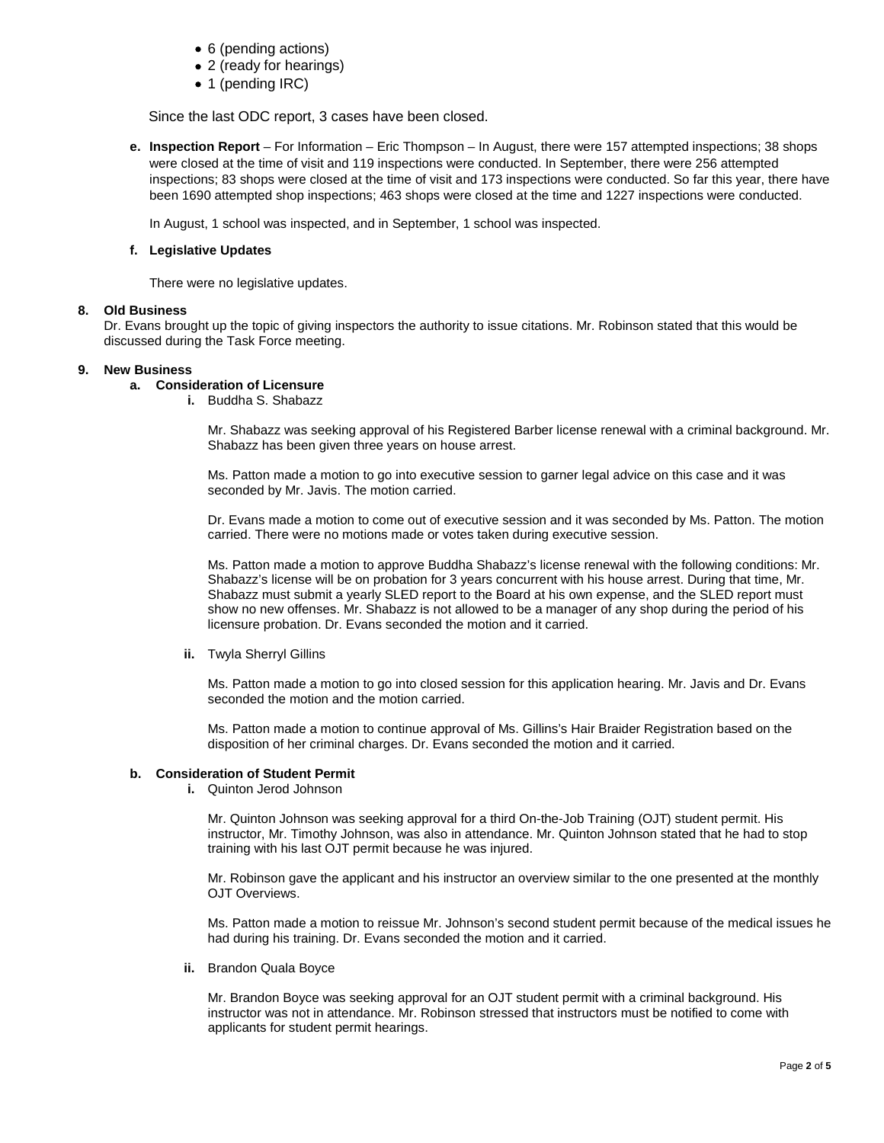- 6 (pending actions)
- 2 (ready for hearings)
- 1 (pending IRC)

Since the last ODC report, 3 cases have been closed.

**e. Inspection Report** – For Information – Eric Thompson – In August, there were 157 attempted inspections; 38 shops were closed at the time of visit and 119 inspections were conducted. In September, there were 256 attempted inspections; 83 shops were closed at the time of visit and 173 inspections were conducted. So far this year, there have been 1690 attempted shop inspections; 463 shops were closed at the time and 1227 inspections were conducted.

In August, 1 school was inspected, and in September, 1 school was inspected.

### **f. Legislative Updates**

There were no legislative updates.

### **8. Old Business**

Dr. Evans brought up the topic of giving inspectors the authority to issue citations. Mr. Robinson stated that this would be discussed during the Task Force meeting.

### **9. New Business**

# **a. Consideration of Licensure**

**i.** Buddha S. Shabazz

Mr. Shabazz was seeking approval of his Registered Barber license renewal with a criminal background. Mr. Shabazz has been given three years on house arrest.

Ms. Patton made a motion to go into executive session to garner legal advice on this case and it was seconded by Mr. Javis. The motion carried.

Dr. Evans made a motion to come out of executive session and it was seconded by Ms. Patton. The motion carried. There were no motions made or votes taken during executive session.

Ms. Patton made a motion to approve Buddha Shabazz's license renewal with the following conditions: Mr. Shabazz's license will be on probation for 3 years concurrent with his house arrest. During that time, Mr. Shabazz must submit a yearly SLED report to the Board at his own expense, and the SLED report must show no new offenses. Mr. Shabazz is not allowed to be a manager of any shop during the period of his licensure probation. Dr. Evans seconded the motion and it carried.

#### **ii.** Twyla Sherryl Gillins

Ms. Patton made a motion to go into closed session for this application hearing. Mr. Javis and Dr. Evans seconded the motion and the motion carried.

Ms. Patton made a motion to continue approval of Ms. Gillins's Hair Braider Registration based on the disposition of her criminal charges. Dr. Evans seconded the motion and it carried.

## **b. Consideration of Student Permit**

**i.** Quinton Jerod Johnson

Mr. Quinton Johnson was seeking approval for a third On-the-Job Training (OJT) student permit. His instructor, Mr. Timothy Johnson, was also in attendance. Mr. Quinton Johnson stated that he had to stop training with his last OJT permit because he was injured.

Mr. Robinson gave the applicant and his instructor an overview similar to the one presented at the monthly OJT Overviews.

Ms. Patton made a motion to reissue Mr. Johnson's second student permit because of the medical issues he had during his training. Dr. Evans seconded the motion and it carried.

**ii.** Brandon Quala Boyce

Mr. Brandon Boyce was seeking approval for an OJT student permit with a criminal background. His instructor was not in attendance. Mr. Robinson stressed that instructors must be notified to come with applicants for student permit hearings.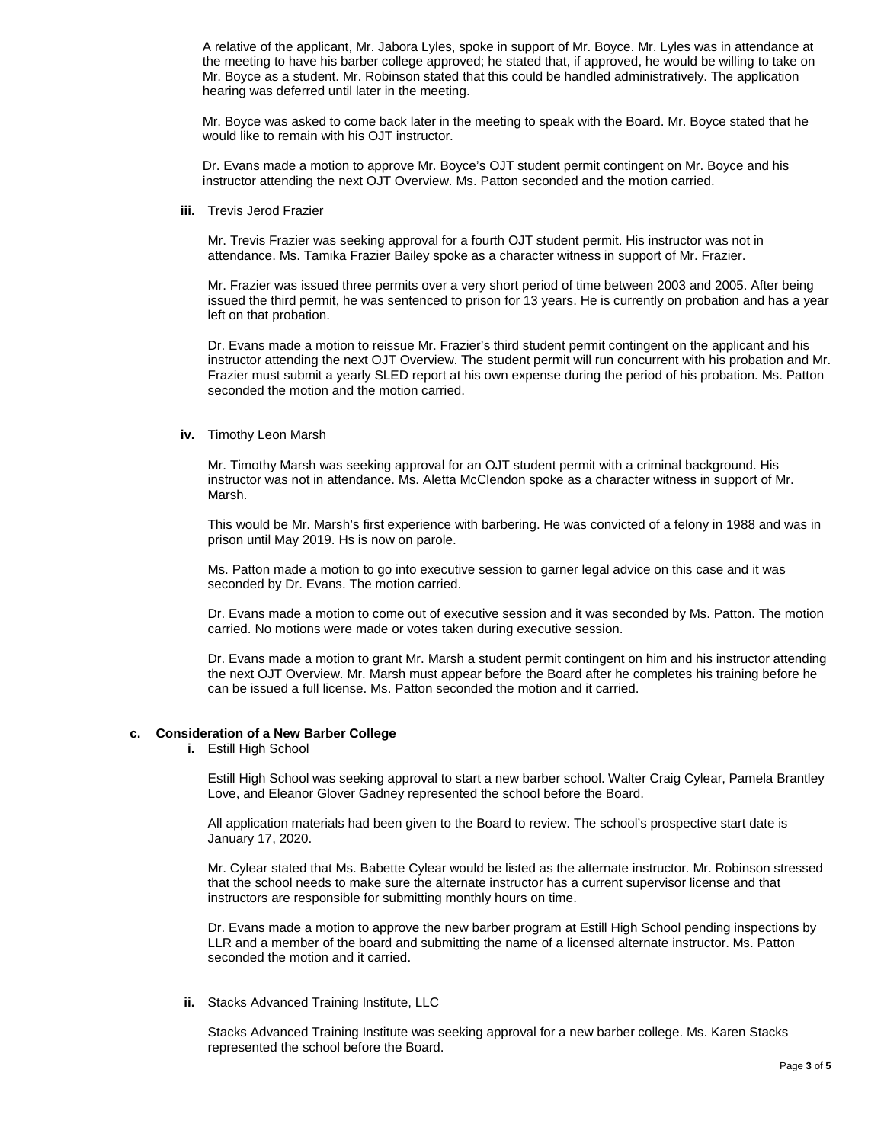A relative of the applicant, Mr. Jabora Lyles, spoke in support of Mr. Boyce. Mr. Lyles was in attendance at the meeting to have his barber college approved; he stated that, if approved, he would be willing to take on Mr. Boyce as a student. Mr. Robinson stated that this could be handled administratively. The application hearing was deferred until later in the meeting.

Mr. Boyce was asked to come back later in the meeting to speak with the Board. Mr. Boyce stated that he would like to remain with his OJT instructor.

Dr. Evans made a motion to approve Mr. Boyce's OJT student permit contingent on Mr. Boyce and his instructor attending the next OJT Overview. Ms. Patton seconded and the motion carried.

**iii.** Trevis Jerod Frazier

Mr. Trevis Frazier was seeking approval for a fourth OJT student permit. His instructor was not in attendance. Ms. Tamika Frazier Bailey spoke as a character witness in support of Mr. Frazier.

Mr. Frazier was issued three permits over a very short period of time between 2003 and 2005. After being issued the third permit, he was sentenced to prison for 13 years. He is currently on probation and has a year left on that probation.

Dr. Evans made a motion to reissue Mr. Frazier's third student permit contingent on the applicant and his instructor attending the next OJT Overview. The student permit will run concurrent with his probation and Mr. Frazier must submit a yearly SLED report at his own expense during the period of his probation. Ms. Patton seconded the motion and the motion carried.

**iv.** Timothy Leon Marsh

Mr. Timothy Marsh was seeking approval for an OJT student permit with a criminal background. His instructor was not in attendance. Ms. Aletta McClendon spoke as a character witness in support of Mr. Marsh.

This would be Mr. Marsh's first experience with barbering. He was convicted of a felony in 1988 and was in prison until May 2019. Hs is now on parole.

Ms. Patton made a motion to go into executive session to garner legal advice on this case and it was seconded by Dr. Evans. The motion carried.

Dr. Evans made a motion to come out of executive session and it was seconded by Ms. Patton. The motion carried. No motions were made or votes taken during executive session.

Dr. Evans made a motion to grant Mr. Marsh a student permit contingent on him and his instructor attending the next OJT Overview. Mr. Marsh must appear before the Board after he completes his training before he can be issued a full license. Ms. Patton seconded the motion and it carried.

#### **c. Consideration of a New Barber College**

**i.** Estill High School

Estill High School was seeking approval to start a new barber school. Walter Craig Cylear, Pamela Brantley Love, and Eleanor Glover Gadney represented the school before the Board.

All application materials had been given to the Board to review. The school's prospective start date is January 17, 2020.

Mr. Cylear stated that Ms. Babette Cylear would be listed as the alternate instructor. Mr. Robinson stressed that the school needs to make sure the alternate instructor has a current supervisor license and that instructors are responsible for submitting monthly hours on time.

Dr. Evans made a motion to approve the new barber program at Estill High School pending inspections by LLR and a member of the board and submitting the name of a licensed alternate instructor. Ms. Patton seconded the motion and it carried.

**ii.** Stacks Advanced Training Institute, LLC

Stacks Advanced Training Institute was seeking approval for a new barber college. Ms. Karen Stacks represented the school before the Board.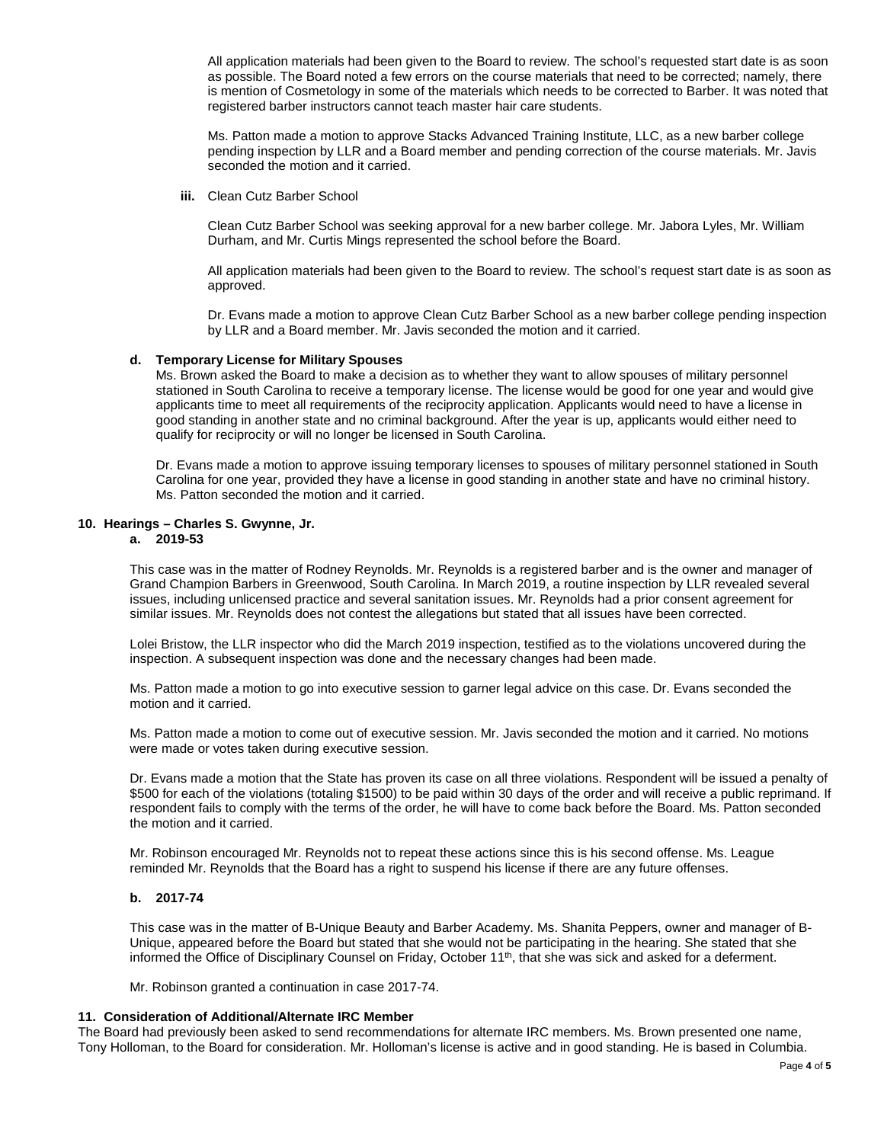All application materials had been given to the Board to review. The school's requested start date is as soon as possible. The Board noted a few errors on the course materials that need to be corrected; namely, there is mention of Cosmetology in some of the materials which needs to be corrected to Barber. It was noted that registered barber instructors cannot teach master hair care students.

Ms. Patton made a motion to approve Stacks Advanced Training Institute, LLC, as a new barber college pending inspection by LLR and a Board member and pending correction of the course materials. Mr. Javis seconded the motion and it carried.

**iii.** Clean Cutz Barber School

Clean Cutz Barber School was seeking approval for a new barber college. Mr. Jabora Lyles, Mr. William Durham, and Mr. Curtis Mings represented the school before the Board.

All application materials had been given to the Board to review. The school's request start date is as soon as approved.

Dr. Evans made a motion to approve Clean Cutz Barber School as a new barber college pending inspection by LLR and a Board member. Mr. Javis seconded the motion and it carried.

#### **d. Temporary License for Military Spouses**

Ms. Brown asked the Board to make a decision as to whether they want to allow spouses of military personnel stationed in South Carolina to receive a temporary license. The license would be good for one year and would give applicants time to meet all requirements of the reciprocity application. Applicants would need to have a license in good standing in another state and no criminal background. After the year is up, applicants would either need to qualify for reciprocity or will no longer be licensed in South Carolina.

Dr. Evans made a motion to approve issuing temporary licenses to spouses of military personnel stationed in South Carolina for one year, provided they have a license in good standing in another state and have no criminal history. Ms. Patton seconded the motion and it carried.

### **10. Hearings – Charles S. Gwynne, Jr.**

**a. 2019-53** 

This case was in the matter of Rodney Reynolds. Mr. Reynolds is a registered barber and is the owner and manager of Grand Champion Barbers in Greenwood, South Carolina. In March 2019, a routine inspection by LLR revealed several issues, including unlicensed practice and several sanitation issues. Mr. Reynolds had a prior consent agreement for similar issues. Mr. Reynolds does not contest the allegations but stated that all issues have been corrected.

Lolei Bristow, the LLR inspector who did the March 2019 inspection, testified as to the violations uncovered during the inspection. A subsequent inspection was done and the necessary changes had been made.

Ms. Patton made a motion to go into executive session to garner legal advice on this case. Dr. Evans seconded the motion and it carried.

Ms. Patton made a motion to come out of executive session. Mr. Javis seconded the motion and it carried. No motions were made or votes taken during executive session.

Dr. Evans made a motion that the State has proven its case on all three violations. Respondent will be issued a penalty of \$500 for each of the violations (totaling \$1500) to be paid within 30 days of the order and will receive a public reprimand. If respondent fails to comply with the terms of the order, he will have to come back before the Board. Ms. Patton seconded the motion and it carried.

Mr. Robinson encouraged Mr. Reynolds not to repeat these actions since this is his second offense. Ms. League reminded Mr. Reynolds that the Board has a right to suspend his license if there are any future offenses.

### **b. 2017-74**

This case was in the matter of B-Unique Beauty and Barber Academy. Ms. Shanita Peppers, owner and manager of B-Unique, appeared before the Board but stated that she would not be participating in the hearing. She stated that she informed the Office of Disciplinary Counsel on Friday, October 11<sup>th</sup>, that she was sick and asked for a deferment.

Mr. Robinson granted a continuation in case 2017-74.

### **11. Consideration of Additional/Alternate IRC Member**

The Board had previously been asked to send recommendations for alternate IRC members. Ms. Brown presented one name, Tony Holloman, to the Board for consideration. Mr. Holloman's license is active and in good standing. He is based in Columbia.